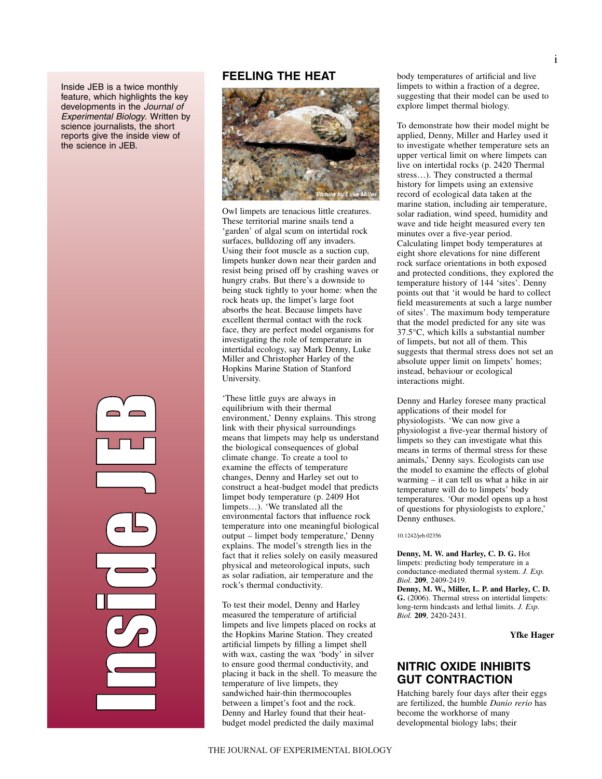Inside JEB is a twice monthly feature, which highlights the key developments in the Journal of Experimental Biology. Written by science journalists, the short reports give the inside view of the science in JEB.

> I**n**  $\mathcal{C}_{\mathcal{P}}$ in 1999<br>September 1999<br>September 1999 d<br>U e J EP<br>B

## **FEELING THE HEAT**



Owl limpets are tenacious little creatures. These territorial marine snails tend a 'garden' of algal scum on intertidal rock surfaces, bulldozing off any invaders. Using their foot muscle as a suction cup, limpets hunker down near their garden and resist being prised off by crashing waves or hungry crabs. But there's a downside to being stuck tightly to your home: when the rock heats up, the limpet's large foot absorbs the heat. Because limpets have excellent thermal contact with the rock face, they are perfect model organisms for investigating the role of temperature in intertidal ecology, say Mark Denny, Luke Miller and Christopher Harley of the Hopkins Marine Station of Stanford University.

'These little guys are always in equilibrium with their thermal environment,' Denny explains. This strong link with their physical surroundings means that limpets may help us understand the biological consequences of global climate change. To create a tool to examine the effects of temperature changes, Denny and Harley set out to construct a heat-budget model that predicts limpet body temperature (p. 2409 Hot limpets…). 'We translated all the environmental factors that influence rock temperature into one meaningful biological output – limpet body temperature,' Denny explains. The model's strength lies in the fact that it relies solely on easily measured physical and meteorological inputs, such as solar radiation, air temperature and the rock's thermal conductivity.

To test their model, Denny and Harley measured the temperature of artificial limpets and live limpets placed on rocks at the Hopkins Marine Station. They created artificial limpets by filling a limpet shell with wax, casting the wax 'body' in silver to ensure good thermal conductivity, and placing it back in the shell. To measure the temperature of live limpets, they sandwiched hair-thin thermocouples between a limpet's foot and the rock. Denny and Harley found that their heatbudget model predicted the daily maximal

body temperatures of artificial and live limpets to within a fraction of a degree, suggesting that their model can be used to explore limpet thermal biology.

To demonstrate how their model might be applied, Denny, Miller and Harley used it to investigate whether temperature sets an upper vertical limit on where limpets can live on intertidal rocks (p. 2420 Thermal stress…). They constructed a thermal history for limpets using an extensive record of ecological data taken at the marine station, including air temperature, solar radiation, wind speed, humidity and wave and tide height measured every ten minutes over a five-year period. Calculating limpet body temperatures at eight shore elevations for nine different rock surface orientations in both exposed and protected conditions, they explored the temperature history of 144 'sites'. Denny points out that 'it would be hard to collect field measurements at such a large number of sites'. The maximum body temperature that the model predicted for any site was 37.5°C, which kills a substantial number of limpets, but not all of them. This suggests that thermal stress does not set an absolute upper limit on limpets' homes; instead, behaviour or ecological interactions might.

Denny and Harley foresee many practical applications of their model for physiologists. 'We can now give a physiologist a five-year thermal history of limpets so they can investigate what this means in terms of thermal stress for these animals,' Denny says. Ecologists can use the model to examine the effects of global warming – it can tell us what a hike in air temperature will do to limpets' body temperatures. 'Our model opens up a host of questions for physiologists to explore,' Denny enthuses.

10.1242/jeb.02356

**Denny, M. W. and Harley, C. D. G.** Hot limpets: predicting body temperature in a conductance-mediated thermal system. *J. Exp. Biol.* **209**, 2409-2419. **Denny, M. W., Miller, L. P. and Harley, C. D. G.** (2006). Thermal stress on intertidal limpets: long-term hindcasts and lethal limits. *J. Exp. Biol.* **209**, 2420-2431.

**Yfke Hager**

# **NITRIC OXIDE INHIBITS GUT CONTRACTION**

Hatching barely four days after their eggs are fertilized, the humble *Danio rerio* has become the workhorse of many developmental biology labs; their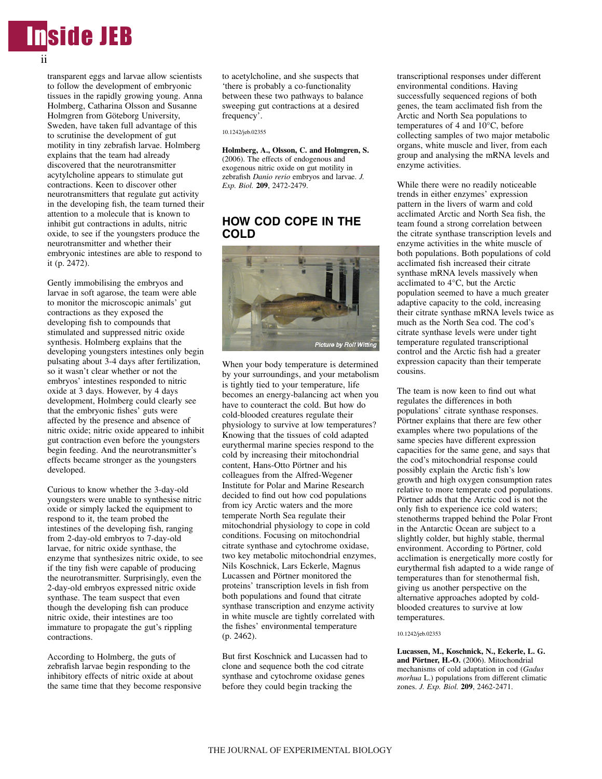

transparent eggs and larvae allow scientists to follow the development of embryonic tissues in the rapidly growing young. Anna Holmberg, Catharina Olsson and Susanne Holmgren from Göteborg University, Sweden, have taken full advantage of this to scrutinise the development of gut motility in tiny zebrafish larvae. Holmberg explains that the team had already discovered that the neurotransmitter acytylcholine appears to stimulate gut contractions. Keen to discover other neurotransmitters that regulate gut activity in the developing fish, the team turned their attention to a molecule that is known to inhibit gut contractions in adults, nitric oxide, to see if the youngsters produce the neurotransmitter and whether their embryonic intestines are able to respond to it (p. 2472).

Gently immobilising the embryos and larvae in soft agarose, the team were able to monitor the microscopic animals' gut contractions as they exposed the developing fish to compounds that stimulated and suppressed nitric oxide synthesis. Holmberg explains that the developing youngsters intestines only begin pulsating about 3-4 days after fertilization, so it wasn't clear whether or not the embryos' intestines responded to nitric oxide at 3 days. However, by 4 days development, Holmberg could clearly see that the embryonic fishes' guts were affected by the presence and absence of nitric oxide; nitric oxide appeared to inhibit gut contraction even before the youngsters begin feeding. And the neurotransmitter's effects became stronger as the youngsters developed.

Curious to know whether the 3-day-old youngsters were unable to synthesise nitric oxide or simply lacked the equipment to respond to it, the team probed the intestines of the developing fish, ranging from 2-day-old embryos to 7-day-old larvae, for nitric oxide synthase, the enzyme that synthesizes nitric oxide, to see if the tiny fish were capable of producing the neurotransmitter. Surprisingly, even the 2-day-old embryos expressed nitric oxide synthase. The team suspect that even though the developing fish can produce nitric oxide, their intestines are too immature to propagate the gut's rippling contractions.

According to Holmberg, the guts of zebrafish larvae begin responding to the inhibitory effects of nitric oxide at about the same time that they become responsive to acetylcholine, and she suspects that 'there is probably a co-functionality between these two pathways to balance sweeping gut contractions at a desired frequency'.

10.1242/jeb.02355

**Holmberg, A., Olsson, C. and Holmgren, S.** (2006). The effects of endogenous and exogenous nitric oxide on gut motility in zebrafish *Danio rerio* embryos and larvae. *J. Exp. Biol.* **209**, 2472-2479.

# **HOW COD COPE IN THE COLD**



When your body temperature is determined by your surroundings, and your metabolism is tightly tied to your temperature, life becomes an energy-balancing act when you have to counteract the cold. But how do cold-blooded creatures regulate their physiology to survive at low temperatures? Knowing that the tissues of cold adapted eurythermal marine species respond to the cold by increasing their mitochondrial content, Hans-Otto Pörtner and his colleagues from the Alfred-Wegener Institute for Polar and Marine Research decided to find out how cod populations from icy Arctic waters and the more temperate North Sea regulate their mitochondrial physiology to cope in cold conditions. Focusing on mitochondrial citrate synthase and cytochrome oxidase, two key metabolic mitochondrial enzymes, Nils Koschnick, Lars Eckerle, Magnus Lucassen and Pörtner monitored the proteins' transcription levels in fish from both populations and found that citrate synthase transcription and enzyme activity in white muscle are tightly correlated with the fishes' environmental temperature  $(p. 2462)$ .

But first Koschnick and Lucassen had to clone and sequence both the cod citrate synthase and cytochrome oxidase genes before they could begin tracking the

transcriptional responses under different environmental conditions. Having successfully sequenced regions of both genes, the team acclimated fish from the Arctic and North Sea populations to temperatures of 4 and 10°C, before collecting samples of two major metabolic organs, white muscle and liver, from each group and analysing the mRNA levels and enzyme activities.

While there were no readily noticeable trends in either enzymes' expression pattern in the livers of warm and cold acclimated Arctic and North Sea fish, the team found a strong correlation between the citrate synthase transcription levels and enzyme activities in the white muscle of both populations. Both populations of cold acclimated fish increased their citrate synthase mRNA levels massively when acclimated to 4°C, but the Arctic population seemed to have a much greater adaptive capacity to the cold, increasing their citrate synthase mRNA levels twice as much as the North Sea cod. The cod's citrate synthase levels were under tight temperature regulated transcriptional control and the Arctic fish had a greater expression capacity than their temperate cousins.

The team is now keen to find out what regulates the differences in both populations' citrate synthase responses. Pörtner explains that there are few other examples where two populations of the same species have different expression capacities for the same gene, and says that the cod's mitochondrial response could possibly explain the Arctic fish's low growth and high oxygen consumption rates relative to more temperate cod populations. Pörtner adds that the Arctic cod is not the only fish to experience ice cold waters; stenotherms trapped behind the Polar Front in the Antarctic Ocean are subject to a slightly colder, but highly stable, thermal environment. According to Pörtner, cold acclimation is energetically more costly for eurythermal fish adapted to a wide range of temperatures than for stenothermal fish, giving us another perspective on the alternative approaches adopted by coldblooded creatures to survive at low temperatures.

#### 10.1242/jeb.02353

**Lucassen, M., Koschnick, N., Eckerle, L. G. and Pörtner, H.-O.** (2006). Mitochondrial mechanisms of cold adaptation in cod (*Gadus morhua* L.) populations from different climatic zones. *J. Exp. Biol.* **209**, 2462-2471.